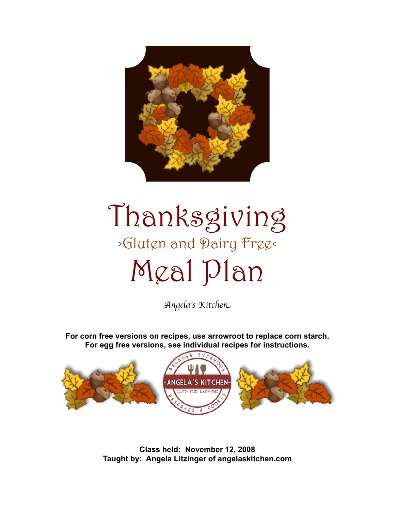

# Thanksgiving >Gluten and Dairy Free< Meal Plan

A*ngela*'*s Kitche*n

**For corn free versions on recipes, use arrowroot to replace corn starch. For egg free versions, see individual recipes for instructions.**



**Class held: November 12, 2008 Taught by: Angela Litzinger of angelaskitchen.com**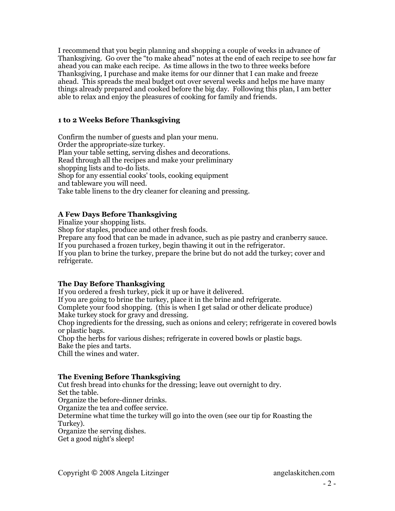I recommend that you begin planning and shopping a couple of weeks in advance of Thanksgiving. Go over the "to make ahead" notes at the end of each recipe to see how far ahead you can make each recipe. As time allows in the two to three weeks before Thanksgiving, I purchase and make items for our dinner that I can make and freeze ahead. This spreads the meal budget out over several weeks and helps me have many things already prepared and cooked before the big day. Following this plan, I am better able to relax and enjoy the pleasures of cooking for family and friends.

## **1 to 2 Weeks Before Thanksgiving**

Confirm the number of guests and plan your menu. Order the appropriate-size turkey. Plan your table setting, serving dishes and decorations. Read through all the recipes and make your preliminary shopping lists and to-do lists. Shop for any essential cooks' tools, cooking equipment and tableware you will need. Take table linens to the dry cleaner for cleaning and pressing.

## **A Few Days Before Thanksgiving**

Finalize your shopping lists.

Shop for staples, produce and other fresh foods.

Prepare any food that can be made in advance, such as pie pastry and cranberry sauce. If you purchased a frozen turkey, begin thawing it out in the refrigerator.

If you plan to brine the turkey, prepare the brine but do not add the turkey; cover and refrigerate.

## **The Day Before Thanksgiving**

If you ordered a fresh turkey, pick it up or have it delivered.

If you are going to brine the turkey, place it in the brine and refrigerate.

Complete your food shopping. (this is when I get salad or other delicate produce) Make turkey stock for gravy and dressing.

Chop ingredients for the dressing, such as onions and celery; refrigerate in covered bowls or plastic bags.

Chop the herbs for various dishes; refrigerate in covered bowls or plastic bags. Bake the pies and tarts.

Chill the wines and water.

## **The Evening Before Thanksgiving**

Cut fresh bread into chunks for the dressing; leave out overnight to dry. Set the table. Organize the before-dinner drinks. Organize the tea and coffee service. Determine what time the turkey will go into the oven (see our tip for Roasting the Turkey). Organize the serving dishes. Get a good night's sleep!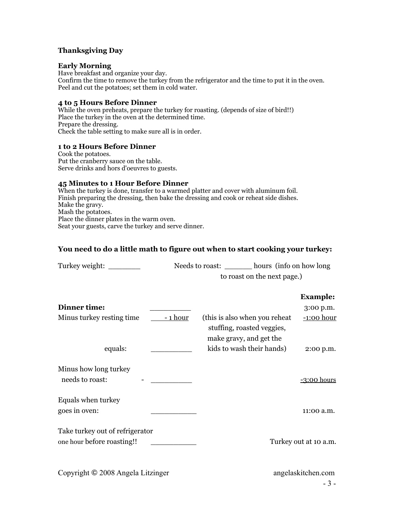## **Thanksgiving Day**

#### **Early Morning**

Have breakfast and organize your day. Confirm the time to remove the turkey from the refrigerator and the time to put it in the oven. Peel and cut the potatoes; set them in cold water.

#### **4 to 5 Hours Before Dinner**

While the oven preheats, prepare the turkey for roasting. (depends of size of bird!!) Place the turkey in the oven at the determined time. Prepare the dressing. Check the table setting to make sure all is in order.

#### **1 to 2 Hours Before Dinner**

Cook the potatoes. Put the cranberry sauce on the table. Serve drinks and hors d'oeuvres to guests.

#### **45 Minutes to 1 Hour Before Dinner**

When the turkey is done, transfer to a warmed platter and cover with aluminum foil. Finish preparing the dressing, then bake the dressing and cook or reheat side dishes. Make the gravy. Mash the potatoes. Place the dinner plates in the warm oven. Seat your guests, carve the turkey and serve dinner.

## **You need to do a little math to figure out when to start cooking your turkey:**

|                                                               | Needs to roast: <u>_______</u> hours (info on how long |                                                                                         |                             |                              |
|---------------------------------------------------------------|--------------------------------------------------------|-----------------------------------------------------------------------------------------|-----------------------------|------------------------------|
|                                                               |                                                        |                                                                                         | to roast on the next page.) |                              |
| Dinner time:                                                  |                                                        |                                                                                         |                             | <b>Example:</b><br>3:00 p.m. |
| Minus turkey resting time                                     | <u>- 1 hour</u>                                        | (this is also when you reheat)<br>stuffing, roasted veggies,<br>make gravy, and get the |                             | <u>-1:00 hour</u>            |
| equals:                                                       |                                                        |                                                                                         | kids to wash their hands)   | 2:00 p.m.                    |
| Minus how long turkey<br>needs to roast:                      |                                                        |                                                                                         |                             | -3:00 hours                  |
| Equals when turkey<br>goes in oven:                           |                                                        |                                                                                         |                             | 11:00 a.m.                   |
| Take turkey out of refrigerator<br>one hour before roasting!! |                                                        |                                                                                         |                             | Turkey out at 10 a.m.        |
| Copyright © 2008 Angela Litzinger                             |                                                        |                                                                                         |                             | angelaskitchen.com<br>$-3-$  |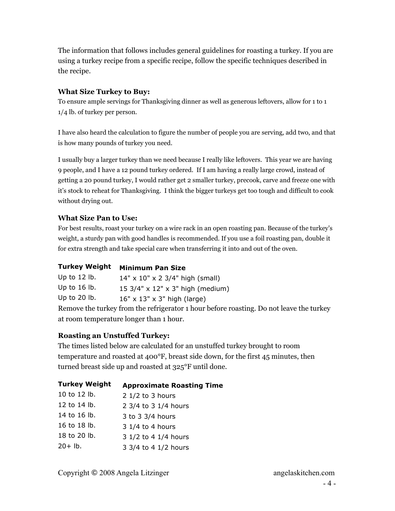The information that follows includes general guidelines for roasting a turkey. If you are using a turkey recipe from a specific recipe, follow the specific techniques described in the recipe.

## **What Size Turkey to Buy:**

To ensure ample servings for Thanksgiving dinner as well as generous leftovers, allow for 1 to 1 1/4 lb. of turkey per person.

I have also heard the calculation to figure the number of people you are serving, add two, and that is how many pounds of turkey you need.

I usually buy a larger turkey than we need because I really like leftovers. This year we are having 9 people, and I have a 12 pound turkey ordered. If I am having a really large crowd, instead of getting a 20 pound turkey, I would rather get 2 smaller turkey, precook, carve and freeze one with it's stock to reheat for Thanksgiving. I think the bigger turkeys get too tough and difficult to cook without drying out.

## **What Size Pan to Use:**

For best results, roast your turkey on a wire rack in an open roasting pan. Because of the turkey's weight, a sturdy pan with good handles is recommended. If you use a foil roasting pan, double it for extra strength and take special care when transferring it into and out of the oven.

## **Turkey Weight Minimum Pan Size**

| Up to $12$ lb.                                                                          | $14" \times 10" \times 2 \frac{3}{4"$ high (small) |  |  |
|-----------------------------------------------------------------------------------------|----------------------------------------------------|--|--|
| Up to $16$ lb.                                                                          | 15 3/4" x 12" x 3" high (medium)                   |  |  |
| Up to $20$ lb.                                                                          | $16" \times 13" \times 3"$ high (large)            |  |  |
| Remove the turkey from the refrigerator 1 hour before roasting. Do not leave the turkey |                                                    |  |  |
| at room temperature longer than 1 hour.                                                 |                                                    |  |  |

## **Roasting an Unstuffed Turkey:**

The times listed below are calculated for an unstuffed turkey brought to room temperature and roasted at 400°F, breast side down, for the first 45 minutes, then turned breast side up and roasted at 325°F until done.

| <b>Turkey Weight</b> | <b>Approximate Roasting Time</b> |
|----------------------|----------------------------------|
| 10 to 12 lb.         | $2$ 1/2 to 3 hours               |
| 12 to 14 lb.         | 2 3/4 to 3 1/4 hours             |
| 14 to 16 lb.         | 3 to 3 3/4 hours                 |
| 16 to 18 lb.         | 3 1/4 to 4 hours                 |
| 18 to 20 lb.         | 3 1/2 to 4 1/4 hours             |
| $20 + lb.$           | 3 3/4 to 4 1/2 hours             |
|                      |                                  |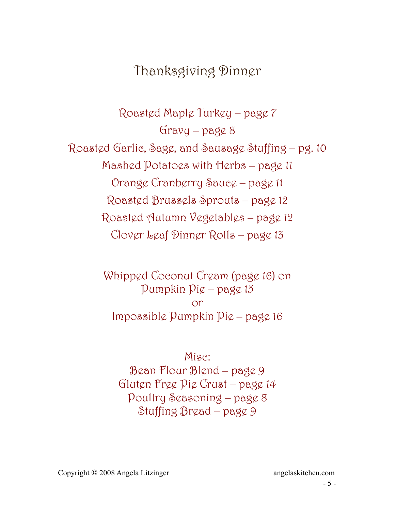## Thanksgiving Dinner

Roasted Maple Turkey – page 7  $Gravy - pagg8$ Roasted Garlic, Sage, and Sausage Stuffing – pg. 10 Mashed Potatoes with Herbs – page 11 Orange Cranberry Sauce – page 11 Roasted Brussels Sprouts – page 12 Roasted Autumn Vegetables – page 12 Clover Leaf Dinner Rolls – page 13

> Whipped Coconut Cream (page 16) on Pumpkin Pie – page 15 or Impossible Pumpkin Pie – page 16

Misc: Bean Flour Blend – page 9 Gluten Free Pie Crust – page 14 Poultry Seasoning – page 8 Stuffing Bread – page 9

Copyright © 2008 Angela Litzinger angelaskitchen.com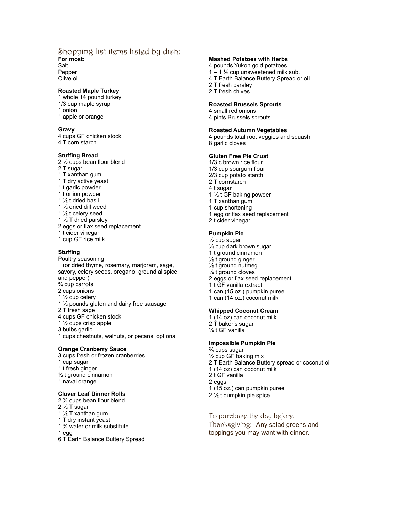#### Shopping list items listed by dish:

**For most:** Salt

Pepper Olive oil

#### **Roasted Maple Turkey**

1 whole 14 pound turkey 1/3 cup maple syrup 1 onion 1 apple or orange

#### **Gravy**

4 cups GF chicken stock 4 T corn starch

#### **Stuffing Bread**

2 ½ cups bean flour blend 2 T sugar 1 T xanthan gum 1 T dry active yeast 1 t garlic powder 1 t onion powder 1 ½ t dried basil 1 ½ dried dill weed 1 ½ t celery seed 1 ½ T dried parsley 2 eggs or flax seed replacement 1 t cider vinegar 1 cup GF rice milk

#### **Stuffing**

Poultry seasoning (or dried thyme, rosemary, marjoram, sage, savory, celery seeds, oregano, ground allspice and pepper) ¾ cup carrots 2 cups onions 1 ½ cup celery 1 ½ pounds gluten and dairy free sausage 2 T fresh sage 4 cups GF chicken stock 1 ½ cups crisp apple 3 bulbs garlic 1 cups chestnuts, walnuts, or pecans, optional

#### **Orange Cranberry Sauce**

3 cups fresh or frozen cranberries 1 cup sugar 1 t fresh ginger ½ t ground cinnamon 1 naval orange

#### **Clover Leaf Dinner Rolls** 2 ¾ cups bean flour blend

2 ½ T sugar

- 1 ½ T xanthan gum
- 1 T dry instant yeast
- 1 ¾ water or milk substitute
- 1 egg

6 T Earth Balance Buttery Spread

#### **Mashed Potatoes with Herbs**

4 pounds Yukon gold potatoes

- $1 1$  % cup unsweetened milk sub.
- 4 T Earth Balance Buttery Spread or oil

2 T fresh parsley

2 T fresh chives

#### **Roasted Brussels Sprouts**

4 small red onions

4 pints Brussels sprouts

#### **Roasted Autumn Vegetables**

4 pounds total root veggies and squash 8 garlic cloves

#### **Gluten Free Pie Crust**

1/3 c brown rice flour 1/3 cup sourgum flour 2/3 cup potato starch 2 T cornstarch 4 t sugar 1 ½ t GF baking powder 1 T xanthan gum 1 cup shortening 1 egg or flax seed replacement 2 t cider vinegar

## **Pumpkin Pie**

- ½ cup sugar ¼ cup dark brown sugar 1 t ground cinnamon ½ t ground ginger ½ t ground nutmeg ¼ t ground cloves 2 eggs or flax seed replacement 1 t GF vanilla extract 1 can (15 oz.) pumpkin puree
- 1 can (14 oz.) coconut milk

#### **Whipped Coconut Cream**

1 (14 oz) can coconut milk 2 T baker's sugar ¼ t GF vanilla

#### **Impossible Pumpkin Pie**

¾ cups sugar ½ cup GF baking mix 2 T Earth Balance Buttery spread or coconut oil 1 (14 oz) can coconut milk 2 t GF vanilla 2 eggs 1 (15 oz.) can pumpkin puree 2 ½ t pumpkin pie spice

#### To purchase the day before

Thanksgiving: Any salad greens and toppings you may want with dinner.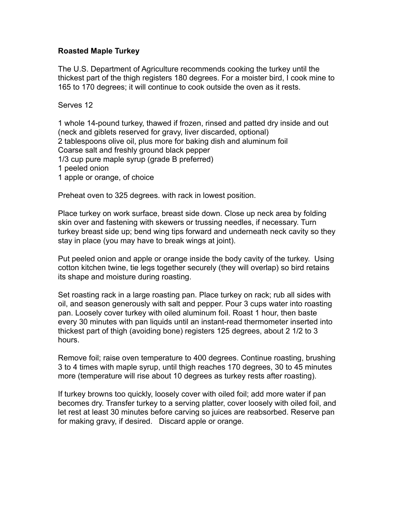## **Roasted Maple Turkey**

The U.S. Department of Agriculture recommends cooking the turkey until the thickest part of the thigh registers 180 degrees. For a moister bird, I cook mine to 165 to 170 degrees; it will continue to cook outside the oven as it rests.

Serves 12

1 whole 14-pound turkey, thawed if frozen, rinsed and patted dry inside and out (neck and giblets reserved for gravy, liver discarded, optional) 2 tablespoons olive oil, plus more for baking dish and aluminum foil Coarse salt and freshly ground black pepper 1/3 cup pure maple syrup (grade B preferred) 1 peeled onion 1 apple or orange, of choice

Preheat oven to 325 degrees. with rack in lowest position.

Place turkey on work surface, breast side down. Close up neck area by folding skin over and fastening with skewers or trussing needles, if necessary. Turn turkey breast side up; bend wing tips forward and underneath neck cavity so they stay in place (you may have to break wings at joint).

Put peeled onion and apple or orange inside the body cavity of the turkey. Using cotton kitchen twine, tie legs together securely (they will overlap) so bird retains its shape and moisture during roasting.

Set roasting rack in a large roasting pan. Place turkey on rack; rub all sides with oil, and season generously with salt and pepper. Pour 3 cups water into roasting pan. Loosely cover turkey with oiled aluminum foil. Roast 1 hour, then baste every 30 minutes with pan liquids until an instant-read thermometer inserted into thickest part of thigh (avoiding bone) registers 125 degrees, about 2 1/2 to 3 hours.

Remove foil; raise oven temperature to 400 degrees. Continue roasting, brushing 3 to 4 times with maple syrup, until thigh reaches 170 degrees, 30 to 45 minutes more (temperature will rise about 10 degrees as turkey rests after roasting).

If turkey browns too quickly, loosely cover with oiled foil; add more water if pan becomes dry. Transfer turkey to a serving platter, cover loosely with oiled foil, and let rest at least 30 minutes before carving so juices are reabsorbed. Reserve pan for making gravy, if desired. Discard apple or orange.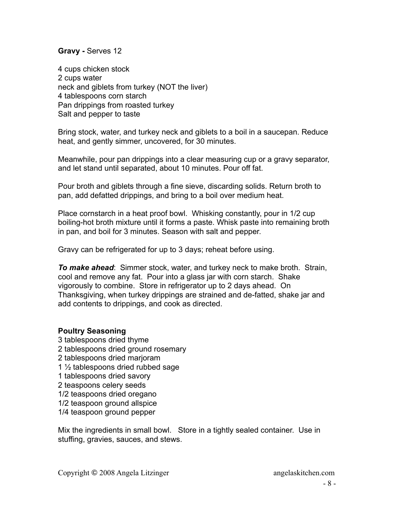## **Gravy -** Serves 12

4 cups chicken stock 2 cups water neck and giblets from turkey (NOT the liver) 4 tablespoons corn starch Pan drippings from roasted turkey Salt and pepper to taste

Bring stock, water, and turkey neck and giblets to a boil in a saucepan. Reduce heat, and gently simmer, uncovered, for 30 minutes.

Meanwhile, pour pan drippings into a clear measuring cup or a gravy separator, and let stand until separated, about 10 minutes. Pour off fat.

Pour broth and giblets through a fine sieve, discarding solids. Return broth to pan, add defatted drippings, and bring to a boil over medium heat.

Place cornstarch in a heat proof bowl. Whisking constantly, pour in 1/2 cup boiling-hot broth mixture until it forms a paste. Whisk paste into remaining broth in pan, and boil for 3 minutes. Season with salt and pepper.

Gravy can be refrigerated for up to 3 days; reheat before using.

*To make ahead*: Simmer stock, water, and turkey neck to make broth. Strain, cool and remove any fat. Pour into a glass jar with corn starch. Shake vigorously to combine. Store in refrigerator up to 2 days ahead. On Thanksgiving, when turkey drippings are strained and de-fatted, shake jar and add contents to drippings, and cook as directed.

## **Poultry Seasoning**

3 tablespoons dried thyme 2 tablespoons dried ground rosemary 2 tablespoons dried marjoram 1 ½ tablespoons dried rubbed sage 1 tablespoons dried savory 2 teaspoons celery seeds 1/2 teaspoons dried oregano 1/2 teaspoon ground allspice 1/4 teaspoon ground pepper

Mix the ingredients in small bowl. Store in a tightly sealed container. Use in stuffing, gravies, sauces, and stews.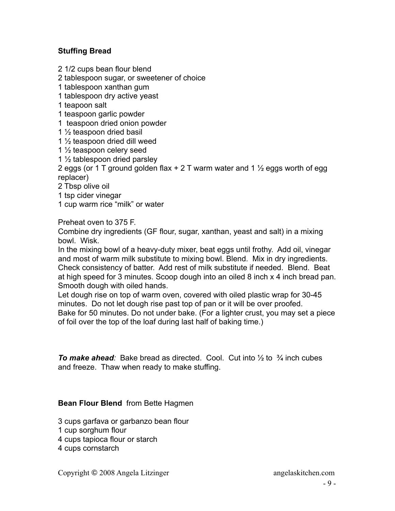## **Stuffing Bread**

2 1/2 cups bean flour blend

2 tablespoon sugar, or sweetener of choice

1 tablespoon xanthan gum

1 tablespoon dry active yeast

1 teapoon salt

1 teaspoon garlic powder

1 teaspoon dried onion powder

1 ½ teaspoon dried basil

1 ½ teaspoon dried dill weed

1 ½ teaspoon celery seed

1 ½ tablespoon dried parsley

2 eggs (or 1 T ground golden flax  $+ 2$  T warm water and 1  $\frac{1}{2}$  eggs worth of egg replacer)

2 Tbsp olive oil

1 tsp cider vinegar

1 cup warm rice "milk" or water

Preheat oven to 375 F.

Combine dry ingredients (GF flour, sugar, xanthan, yeast and salt) in a mixing bowl. Wisk.

In the mixing bowl of a heavy-duty mixer, beat eggs until frothy. Add oil, vinegar and most of warm milk substitute to mixing bowl. Blend. Mix in dry ingredients. Check consistency of batter. Add rest of milk substitute if needed. Blend. Beat at high speed for 3 minutes. Scoop dough into an oiled 8 inch x 4 inch bread pan. Smooth dough with oiled hands.

Let dough rise on top of warm oven, covered with oiled plastic wrap for 30-45 minutes. Do not let dough rise past top of pan or it will be over proofed. Bake for 50 minutes. Do not under bake. (For a lighter crust, you may set a piece of foil over the top of the loaf during last half of baking time.)

*To make ahead:* Bake bread as directed. Cool. Cut into ½ to ¾ inch cubes and freeze. Thaw when ready to make stuffing.

## **Bean Flour Blend** from Bette Hagmen

3 cups garfava or garbanzo bean flour

1 cup sorghum flour

- 4 cups tapioca flour or starch
- 4 cups cornstarch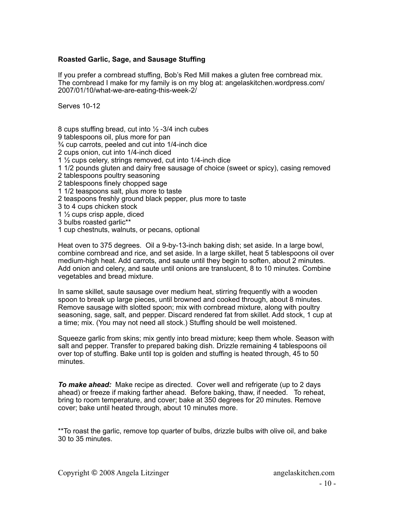## **Roasted Garlic, Sage, and Sausage Stuffing**

If you prefer a cornbread stuffing, Bob's Red Mill makes a gluten free cornbread mix. The cornbread I make for my family is on my blog at: angelaskitchen.wordpress.com/ 2007/01/10/what-we-are-eating-this-week-2/

Serves 10-12

8 cups stuffing bread, cut into  $\frac{1}{2}$  -3/4 inch cubes 9 tablespoons oil, plus more for pan ¾ cup carrots, peeled and cut into 1/4-inch dice 2 cups onion, cut into 1/4-inch diced 1 ½ cups celery, strings removed, cut into 1/4-inch dice 1 1/2 pounds gluten and dairy free sausage of choice (sweet or spicy), casing removed 2 tablespoons poultry seasoning 2 tablespoons finely chopped sage 1 1/2 teaspoons salt, plus more to taste 2 teaspoons freshly ground black pepper, plus more to taste 3 to 4 cups chicken stock 1 ½ cups crisp apple, diced 3 bulbs roasted garlic\*\* 1 cup chestnuts, walnuts, or pecans, optional

Heat oven to 375 degrees. Oil a 9-by-13-inch baking dish; set aside. In a large bowl, combine cornbread and rice, and set aside. In a large skillet, heat 5 tablespoons oil over medium-high heat. Add carrots, and saute until they begin to soften, about 2 minutes. Add onion and celery, and saute until onions are translucent, 8 to 10 minutes. Combine vegetables and bread mixture.

In same skillet, saute sausage over medium heat, stirring frequently with a wooden spoon to break up large pieces, until browned and cooked through, about 8 minutes. Remove sausage with slotted spoon; mix with cornbread mixture, along with poultry seasoning, sage, salt, and pepper. Discard rendered fat from skillet. Add stock, 1 cup at a time; mix. (You may not need all stock.) Stuffing should be well moistened.

Squeeze garlic from skins; mix gently into bread mixture; keep them whole. Season with salt and pepper. Transfer to prepared baking dish. Drizzle remaining 4 tablespoons oil over top of stuffing. Bake until top is golden and stuffing is heated through, 45 to 50 minutes.

*To make ahead:* Make recipe as directed. Cover well and refrigerate (up to 2 days ahead) or freeze if making farther ahead. Before baking, thaw, if needed.To reheat, bring to room temperature, and cover; bake at 350 degrees for 20 minutes. Remove cover; bake until heated through, about 10 minutes more.

\*\*To roast the garlic, remove top quarter of bulbs, drizzle bulbs with olive oil, and bake 30 to 35 minutes.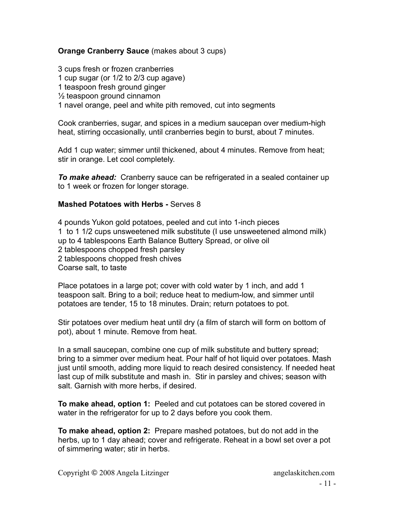## **Orange Cranberry Sauce** (makes about 3 cups)

3 cups fresh or frozen cranberries 1 cup sugar (or 1/2 to 2/3 cup agave) 1 teaspoon fresh ground ginger ½ teaspoon ground cinnamon 1 navel orange, peel and white pith removed, cut into segments

Cook cranberries, sugar, and spices in a medium saucepan over medium-high heat, stirring occasionally, until cranberries begin to burst, about 7 minutes.

Add 1 cup water; simmer until thickened, about 4 minutes. Remove from heat; stir in orange. Let cool completely.

*To make ahead:* Cranberry sauce can be refrigerated in a sealed container up to 1 week or frozen for longer storage.

## **Mashed Potatoes with Herbs -** Serves 8

4 pounds Yukon gold potatoes, peeled and cut into 1-inch pieces 1 to 1 1/2 cups unsweetened milk substitute (I use unsweetened almond milk) up to 4 tablespoons Earth Balance Buttery Spread, or olive oil 2 tablespoons chopped fresh parsley 2 tablespoons chopped fresh chives Coarse salt, to taste

Place potatoes in a large pot; cover with cold water by 1 inch, and add 1 teaspoon salt. Bring to a boil; reduce heat to medium-low, and simmer until potatoes are tender, 15 to 18 minutes. Drain; return potatoes to pot.

Stir potatoes over medium heat until dry (a film of starch will form on bottom of pot), about 1 minute. Remove from heat.

In a small saucepan, combine one cup of milk substitute and buttery spread; bring to a simmer over medium heat. Pour half of hot liquid over potatoes. Mash just until smooth, adding more liquid to reach desired consistency. If needed heat last cup of milk substitute and mash in. Stir in parsley and chives; season with salt. Garnish with more herbs, if desired.

**To make ahead, option 1:** Peeled and cut potatoes can be stored covered in water in the refrigerator for up to 2 days before you cook them.

**To make ahead, option 2:** Prepare mashed potatoes, but do not add in the herbs, up to 1 day ahead; cover and refrigerate. Reheat in a bowl set over a pot of simmering water; stir in herbs.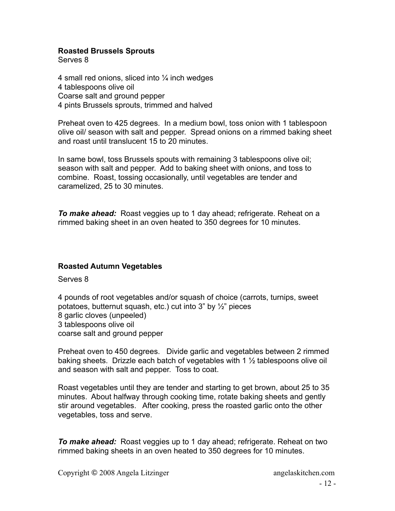## **Roasted Brussels Sprouts**

Serves 8

4 small red onions, sliced into  $\frac{1}{4}$  inch wedges 4 tablespoons olive oil Coarse salt and ground pepper 4 pints Brussels sprouts, trimmed and halved

Preheat oven to 425 degrees. In a medium bowl, toss onion with 1 tablespoon olive oil/ season with salt and pepper. Spread onions on a rimmed baking sheet and roast until translucent 15 to 20 minutes.

In same bowl, toss Brussels spouts with remaining 3 tablespoons olive oil; season with salt and pepper. Add to baking sheet with onions, and toss to combine. Roast, tossing occasionally, until vegetables are tender and caramelized, 25 to 30 minutes.

*To make ahead:* Roast veggies up to 1 day ahead; refrigerate. Reheat on a rimmed baking sheet in an oven heated to 350 degrees for 10 minutes.

## **Roasted Autumn Vegetables**

Serves 8

4 pounds of root vegetables and/or squash of choice (carrots, turnips, sweet potatoes, butternut squash, etc.) cut into 3" by ½" pieces 8 garlic cloves (unpeeled) 3 tablespoons olive oil coarse salt and ground pepper

Preheat oven to 450 degrees. Divide garlic and vegetables between 2 rimmed baking sheets. Drizzle each batch of vegetables with 1 ½ tablespoons olive oil and season with salt and pepper. Toss to coat.

Roast vegetables until they are tender and starting to get brown, about 25 to 35 minutes. About halfway through cooking time, rotate baking sheets and gently stir around vegetables. After cooking, press the roasted garlic onto the other vegetables, toss and serve.

*To make ahead:* Roast veggies up to 1 day ahead; refrigerate. Reheat on two rimmed baking sheets in an oven heated to 350 degrees for 10 minutes.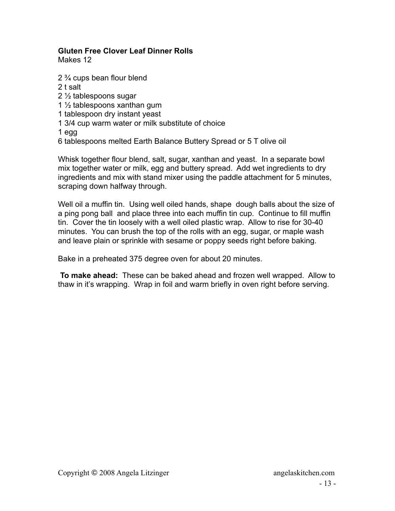## **Gluten Free Clover Leaf Dinner Rolls**

Makes 12

2 ¾ cups bean flour blend

- 2 t salt
- 2 ½ tablespoons sugar
- 1 ½ tablespoons xanthan gum
- 1 tablespoon dry instant yeast
- 1 3/4 cup warm water or milk substitute of choice

1 egg

6 tablespoons melted Earth Balance Buttery Spread or 5 T olive oil

Whisk together flour blend, salt, sugar, xanthan and yeast. In a separate bowl mix together water or milk, egg and buttery spread. Add wet ingredients to dry ingredients and mix with stand mixer using the paddle attachment for 5 minutes, scraping down halfway through.

Well oil a muffin tin. Using well oiled hands, shape dough balls about the size of a ping pong ball and place three into each muffin tin cup. Continue to fill muffin tin. Cover the tin loosely with a well oiled plastic wrap. Allow to rise for 30-40 minutes. You can brush the top of the rolls with an egg, sugar, or maple wash and leave plain or sprinkle with sesame or poppy seeds right before baking.

Bake in a preheated 375 degree oven for about 20 minutes.

 **To make ahead:** These can be baked ahead and frozen well wrapped. Allow to thaw in it's wrapping. Wrap in foil and warm briefly in oven right before serving.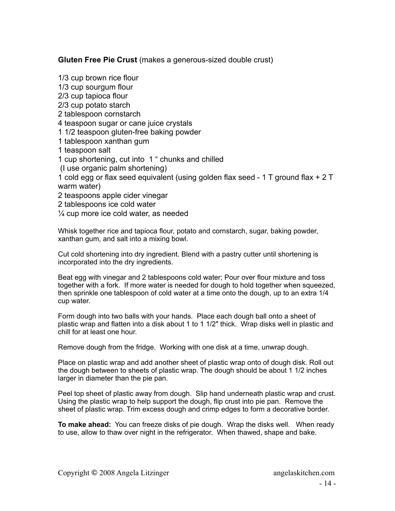**Gluten Free Pie Crust** (makes a generous-sized double crust)

1/3 cup brown rice flour 1/3 cup sourgum flour 2/3 cup tapioca flour 2/3 cup potato starch 2 tablespoon cornstarch 4 teaspoon sugar or cane juice crystals 1 1/2 teaspoon gluten-free baking powder 1 tablespoon xanthan gum 1 teaspoon salt 1 cup shortening, cut into 1 " chunks and chilled (I use organic palm shortening) 1 cold egg or flax seed equivalent (using golden flax seed - 1 T ground flax + 2 T warm water) 2 teaspoons apple cider vinegar 2 tablespoons ice cold water  $\frac{1}{4}$  cup more ice cold water, as needed

Whisk together rice and tapioca flour, potato and cornstarch, sugar, baking powder, xanthan gum, and salt into a mixing bowl.

Cut cold shortening into dry ingredient. Blend with a pastry cutter until shortening is incorporated into the dry ingredients.

Beat egg with vinegar and 2 tablespoons cold water; Pour over flour mixture and toss together with a fork. If more water is needed for dough to hold together when squeezed, then sprinkle one tablespoon of cold water at a time onto the dough, up to an extra 1/4 cup water.

Form dough into two balls with your hands. Place each dough ball onto a sheet of plastic wrap and flatten into a disk about 1 to 1 1/2″ thick. Wrap disks well in plastic and chill for at least one hour.

Remove dough from the fridge. Working with one disk at a time, unwrap dough.

Place on plastic wrap and add another sheet of plastic wrap onto of dough disk. Roll out the dough between to sheets of plastic wrap. The dough should be about 1 1/2 inches larger in diameter than the pie pan.

Peel top sheet of plastic away from dough. Slip hand underneath plastic wrap and crust. Using the plastic wrap to help support the dough, flip crust into pie pan. Remove the sheet of plastic wrap. Trim excess dough and crimp edges to form a decorative border.

**To make ahead:** You can freeze disks of pie dough. Wrap the disks well. When ready to use, allow to thaw over night in the refrigerator. When thawed, shape and bake.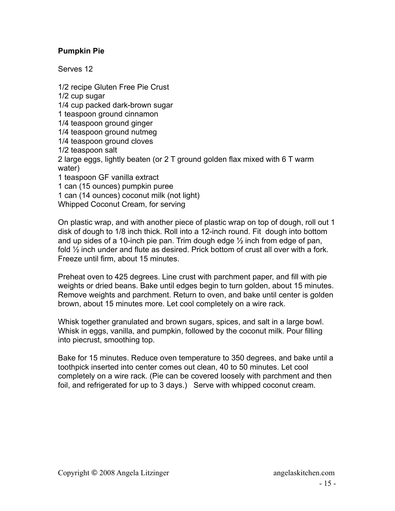## **Pumpkin Pie**

Serves 12

1/2 recipe Gluten Free Pie Crust 1/2 cup sugar 1/4 cup packed dark-brown sugar 1 teaspoon ground cinnamon 1/4 teaspoon ground ginger 1/4 teaspoon ground nutmeg 1/4 teaspoon ground cloves 1/2 teaspoon salt 2 large eggs, lightly beaten (or 2 T ground golden flax mixed with 6 T warm water) 1 teaspoon GF vanilla extract 1 can (15 ounces) pumpkin puree 1 can (14 ounces) coconut milk (not light) Whipped Coconut Cream, for serving

On plastic wrap, and with another piece of plastic wrap on top of dough, roll out 1 disk of dough to 1/8 inch thick. Roll into a 12-inch round. Fit dough into bottom and up sides of a 10-inch pie pan. Trim dough edge  $\frac{1}{2}$  inch from edge of pan, fold ½ inch under and flute as desired. Prick bottom of crust all over with a fork. Freeze until firm, about 15 minutes.

Preheat oven to 425 degrees. Line crust with parchment paper, and fill with pie weights or dried beans. Bake until edges begin to turn golden, about 15 minutes. Remove weights and parchment. Return to oven, and bake until center is golden brown, about 15 minutes more. Let cool completely on a wire rack.

Whisk together granulated and brown sugars, spices, and salt in a large bowl. Whisk in eggs, vanilla, and pumpkin, followed by the coconut milk. Pour filling into piecrust, smoothing top.

Bake for 15 minutes. Reduce oven temperature to 350 degrees, and bake until a toothpick inserted into center comes out clean, 40 to 50 minutes. Let cool completely on a wire rack. (Pie can be covered loosely with parchment and then foil, and refrigerated for up to 3 days.) Serve with whipped coconut cream.